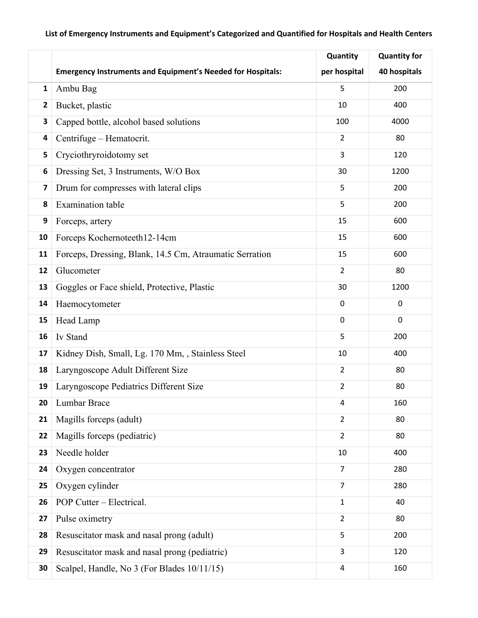## **List of Emergency Instruments and Equipment's Categorized and Quantified for Hospitals and Health Centers**

|              |                                                                    | Quantity       | <b>Quantity for</b> |
|--------------|--------------------------------------------------------------------|----------------|---------------------|
|              | <b>Emergency Instruments and Equipment's Needed for Hospitals:</b> | per hospital   | 40 hospitals        |
| $\mathbf{1}$ | Ambu Bag                                                           | 5              | 200                 |
| 2            | Bucket, plastic                                                    | 10             | 400                 |
| 3            | Capped bottle, alcohol based solutions                             | 100            | 4000                |
| 4            | Centrifuge - Hematocrit.                                           | $\overline{2}$ | 80                  |
| 5            | Cryciothryroidotomy set                                            | 3              | 120                 |
| 6            | Dressing Set, 3 Instruments, W/O Box                               | 30             | 1200                |
| 7            | Drum for compresses with lateral clips                             | 5              | 200                 |
| 8            | <b>Examination</b> table                                           | 5              | 200                 |
| 9            | Forceps, artery                                                    | 15             | 600                 |
| 10           | Forceps Kochernoteeth12-14cm                                       | 15             | 600                 |
| 11           | Forceps, Dressing, Blank, 14.5 Cm, Atraumatic Serration            | 15             | 600                 |
| 12           | Glucometer                                                         | $\overline{2}$ | 80                  |
| 13           | Goggles or Face shield, Protective, Plastic                        | 30             | 1200                |
| 14           | Haemocytometer                                                     | 0              | $\mathbf 0$         |
| 15           | Head Lamp                                                          | $\pmb{0}$      | $\mathbf 0$         |
| 16           | Iv Stand                                                           | 5              | 200                 |
| 17           | Kidney Dish, Small, Lg. 170 Mm, , Stainless Steel                  | 10             | 400                 |
| 18           | Laryngoscope Adult Different Size                                  | $\overline{2}$ | 80                  |
| 19           | Laryngoscope Pediatrics Different Size                             | $\overline{2}$ | 80                  |
| 20           | Lumbar Brace                                                       | 4              | 160                 |
| 21           | Magills forceps (adult)                                            | $\overline{2}$ | 80                  |
| 22           | Magills forceps (pediatric)                                        | $\overline{2}$ | 80                  |
| 23           | Needle holder                                                      | $10\,$         | 400                 |
| 24           | Oxygen concentrator                                                | $\overline{7}$ | 280                 |
| 25           | Oxygen cylinder                                                    | $\overline{7}$ | 280                 |
| 26           | POP Cutter - Electrical.                                           | $\mathbf{1}$   | 40                  |
| 27           | Pulse oximetry                                                     | $\overline{2}$ | 80                  |
| 28           | Resuscitator mask and nasal prong (adult)                          | 5              | 200                 |
| 29           | Resuscitator mask and nasal prong (pediatric)                      | 3              | 120                 |
| 30           | Scalpel, Handle, No 3 (For Blades 10/11/15)                        | 4              | 160                 |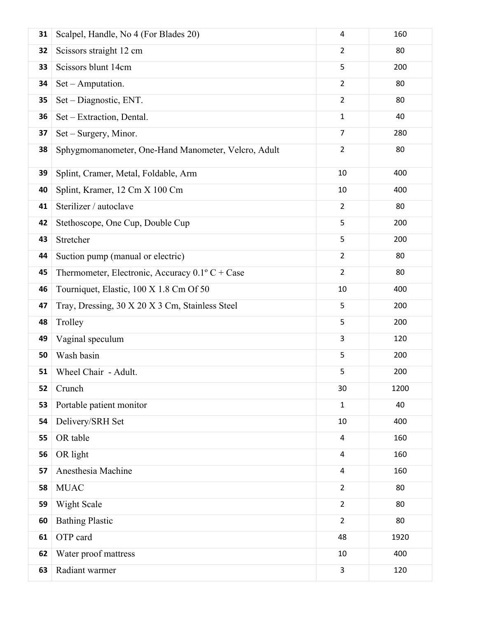| 31 | Scalpel, Handle, No 4 (For Blades 20)                    | 4                       | 160  |
|----|----------------------------------------------------------|-------------------------|------|
| 32 | Scissors straight 12 cm                                  | $\overline{2}$          | 80   |
| 33 | Scissors blunt 14cm                                      | 5                       | 200  |
| 34 | Set - Amputation.                                        | $\overline{2}$          | 80   |
| 35 | Set - Diagnostic, ENT.                                   | $\overline{2}$          | 80   |
| 36 | Set - Extraction, Dental.                                | $\mathbf 1$             | 40   |
| 37 | Set - Surgery, Minor.                                    | $\overline{7}$          | 280  |
| 38 | Sphygmomanometer, One-Hand Manometer, Velcro, Adult      | $\overline{2}$          | 80   |
| 39 | Splint, Cramer, Metal, Foldable, Arm                     | 10                      | 400  |
| 40 | Splint, Kramer, 12 Cm X 100 Cm                           | 10                      | 400  |
| 41 | Sterilizer / autoclave                                   | $\overline{2}$          | 80   |
| 42 | Stethoscope, One Cup, Double Cup                         | 5                       | 200  |
| 43 | Stretcher                                                | 5                       | 200  |
| 44 | Suction pump (manual or electric)                        | $\overline{2}$          | 80   |
| 45 | Thermometer, Electronic, Accuracy $0.1^{\circ}$ C + Case | $\overline{2}$          | 80   |
| 46 | Tourniquet, Elastic, 100 X 1.8 Cm Of 50                  | 10                      | 400  |
| 47 | Tray, Dressing, 30 X 20 X 3 Cm, Stainless Steel          | 5                       | 200  |
| 48 | Trolley                                                  | 5                       | 200  |
| 49 | Vaginal speculum                                         | 3                       | 120  |
| 50 | Wash basin                                               | 5                       | 200  |
| 51 | Wheel Chair - Adult.                                     | 5                       | 200  |
| 52 | Crunch                                                   | 30                      | 1200 |
| 53 | Portable patient monitor                                 | $\mathbf{1}$            | 40   |
| 54 | Delivery/SRH Set                                         | 10                      | 400  |
| 55 | OR table                                                 | $\overline{\mathbf{4}}$ | 160  |
| 56 | OR light                                                 | 4                       | 160  |
| 57 | Anesthesia Machine                                       | $\overline{\mathbf{4}}$ | 160  |
| 58 | <b>MUAC</b>                                              | $\overline{2}$          | 80   |
| 59 | Wight Scale                                              | $\overline{2}$          | 80   |
| 60 | <b>Bathing Plastic</b>                                   | $\overline{2}$          | 80   |
| 61 | OTP card                                                 | 48                      | 1920 |
| 62 | Water proof mattress                                     | 10                      | 400  |
| 63 | Radiant warmer                                           | 3                       | 120  |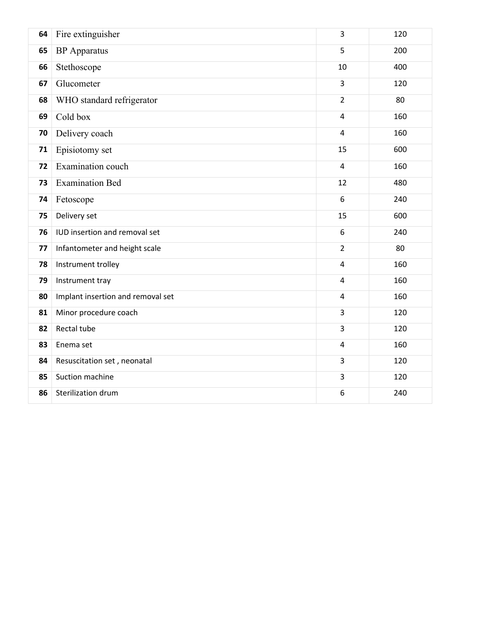| 64 | Fire extinguisher                 | 3                       | 120 |
|----|-----------------------------------|-------------------------|-----|
| 65 | <b>BP</b> Apparatus               | 5                       | 200 |
| 66 | Stethoscope                       | 10                      | 400 |
| 67 | Glucometer                        | 3                       | 120 |
| 68 | WHO standard refrigerator         | $\overline{2}$          | 80  |
| 69 | Cold box                          | $\overline{4}$          | 160 |
| 70 | Delivery coach                    | 4                       | 160 |
| 71 | Episiotomy set                    | 15                      | 600 |
| 72 | Examination couch                 | $\overline{\mathbf{4}}$ | 160 |
| 73 | <b>Examination Bed</b>            | 12                      | 480 |
| 74 | Fetoscope                         | 6                       | 240 |
| 75 | Delivery set                      | 15                      | 600 |
| 76 | IUD insertion and removal set     | 6                       | 240 |
| 77 | Infantometer and height scale     | $\overline{2}$          | 80  |
| 78 | Instrument trolley                | $\overline{\mathbf{4}}$ | 160 |
| 79 | Instrument tray                   | $\overline{\mathbf{4}}$ | 160 |
| 80 | Implant insertion and removal set | $\overline{4}$          | 160 |
| 81 | Minor procedure coach             | 3                       | 120 |
| 82 | Rectal tube                       | 3                       | 120 |
| 83 | Enema set                         | 4                       | 160 |
| 84 | Resuscitation set, neonatal       | 3                       | 120 |
| 85 | Suction machine                   | 3                       | 120 |
| 86 | Sterilization drum                | 6                       | 240 |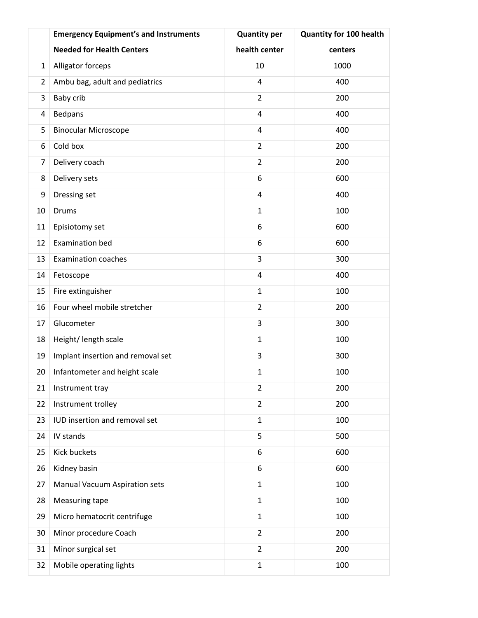|                | <b>Emergency Equipment's and Instruments</b> | <b>Quantity per</b>     | <b>Quantity for 100 health</b> |
|----------------|----------------------------------------------|-------------------------|--------------------------------|
|                | <b>Needed for Health Centers</b>             | health center           | centers                        |
| 1              | Alligator forceps                            | 10                      | 1000                           |
| $\overline{2}$ | Ambu bag, adult and pediatrics               | $\overline{4}$          | 400                            |
| 3              | Baby crib                                    | $\overline{2}$          | 200                            |
| 4              | Bedpans                                      | 4                       | 400                            |
| 5              | <b>Binocular Microscope</b>                  | $\overline{\mathbf{4}}$ | 400                            |
| 6              | Cold box                                     | $\overline{2}$          | 200                            |
| 7              | Delivery coach                               | $\overline{2}$          | 200                            |
| 8              | Delivery sets                                | 6                       | 600                            |
| 9              | Dressing set                                 | $\overline{\mathbf{4}}$ | 400                            |
| 10             | <b>Drums</b>                                 | $\mathbf{1}$            | 100                            |
| 11             | Episiotomy set                               | 6                       | 600                            |
| 12             | <b>Examination bed</b>                       | 6                       | 600                            |
| 13             | <b>Examination coaches</b>                   | 3                       | 300                            |
| 14             | Fetoscope                                    | 4                       | 400                            |
| 15             | Fire extinguisher                            | $\mathbf{1}$            | 100                            |
| 16             | Four wheel mobile stretcher                  | $\overline{2}$          | 200                            |
| 17             | Glucometer                                   | 3                       | 300                            |
| 18             | Height/ length scale                         | $\mathbf{1}$            | 100                            |
| 19             | Implant insertion and removal set            | 3                       | 300                            |
| 20             | Infantometer and height scale                | $\mathbf 1$             | 100                            |
| 21             | Instrument tray                              | $\overline{2}$          | 200                            |
| 22             | Instrument trolley                           | $\overline{2}$          | 200                            |
| 23             | IUD insertion and removal set                | $\mathbf{1}$            | 100                            |
| 24             | IV stands                                    | 5                       | 500                            |
| 25             | Kick buckets                                 | 6                       | 600                            |
| 26             | Kidney basin                                 | 6                       | 600                            |
| 27             | Manual Vacuum Aspiration sets                | $\mathbf{1}$            | 100                            |
| 28             | Measuring tape                               | $\mathbf{1}$            | 100                            |
| 29             | Micro hematocrit centrifuge                  | $\mathbf{1}$            | 100                            |
| 30             | Minor procedure Coach                        | $\overline{2}$          | 200                            |
| 31             | Minor surgical set                           | $\overline{2}$          | 200                            |
| 32             | Mobile operating lights                      | $\mathbf{1}$            | 100                            |